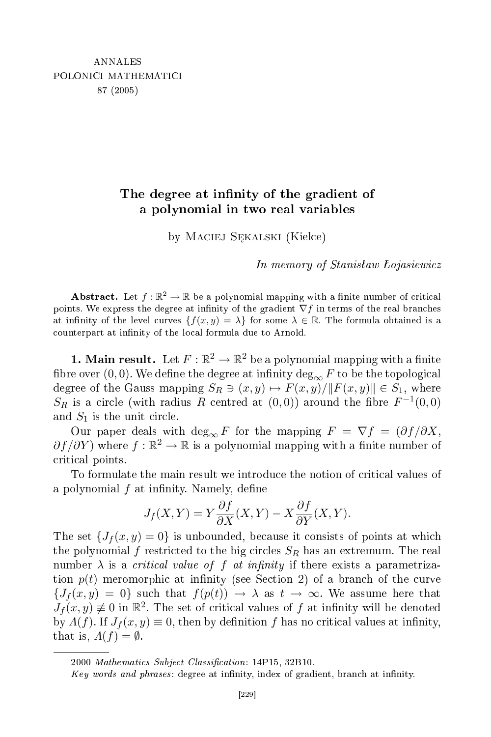## degree at innity of the gradient of the gradient of the gradient of the gradient of the gradient of the gradient of the gradient of the gradient of the gradient of the gradient of the gradient of the gradient of the gradie a polynomial in two real variables

by Maciej Sękalski (Kiel
e)

In memory of Stanisªaw ojasiewi
z

 ${\bf Abstract.\, \, Let}\; f:\mathbb{R}^2\rightarrow\mathbb{R}$  be a polynomial mapping with a finite number of critical points. We express the degree at infinity of the gradient  $\nabla f$  in terms of the real branches at infinity of the level curves  $\{f(x, y) = \lambda\}$  for some  $\lambda \in \mathbb{R}$ . The formula obtained is a counterpart at infinity of the local formula due to Arnold.

**1. Main result.** Let  $F: \mathbb{R}^2 \to \mathbb{R}^2$  be a polynomial mapping with a finite fibre over (0,0). We define the degree at infinity  $\deg_{\infty} F$  to be the topological degree of the Gauss mapping  $S_R \ni (x, y) \mapsto F(x, y)/||F(x, y)|| \in S_1$ , where  $S_R$  is a circle (with radius R centred at  $(0,0)$ ) around the fibre  $F^{-1}(0,0)$ and  $S_1$  is the unit circle.

Our paper deals with deg<sub>∞</sub> F for the mapping  $F = \nabla f = (\partial f / \partial X,$  $\partial f/\partial Y$ ) where  $f : \mathbb{R}^2 \to \mathbb{R}$  is a polynomial mapping with a finite number of riti
al points.

To formulate the main result we introduce the notion of critical values of a polynomial  $f$  at infinity. Namely, define

$$
J_f(X,Y) = Y \frac{\partial f}{\partial X}(X,Y) - X \frac{\partial f}{\partial Y}(X,Y).
$$

The set  ${J_f(x, y) = 0}$  is unbounded, because it consists of points at which the polynomial f restricted to the big circles  $S_R$  has an extremum. The real number  $\lambda$  is a *critical value of f at infinity* if there exists a parametrization  $p(t)$  meromorphic at infinity (see Section 2) of a branch of the curve  ${J_f(x,y) = 0}$  such that  $f(p(t)) \to \lambda$  as  $t \to \infty$ . We assume here that  $J_f(x,y) \neq 0$  in  $\mathbb{R}^2$ . The set of critical values of f at infinity will be denoted by  $\Lambda(f)$ . If  $J_f(x, y) \equiv 0$ , then by definition f has no critical values at infinity, that is,  $\Lambda(f) = \emptyset$ .

<sup>2000</sup> Mathematics Subject Classification: 14P15, 32B10.

Key words and phrases : degree at innity, index of gradient, bran
h at innity.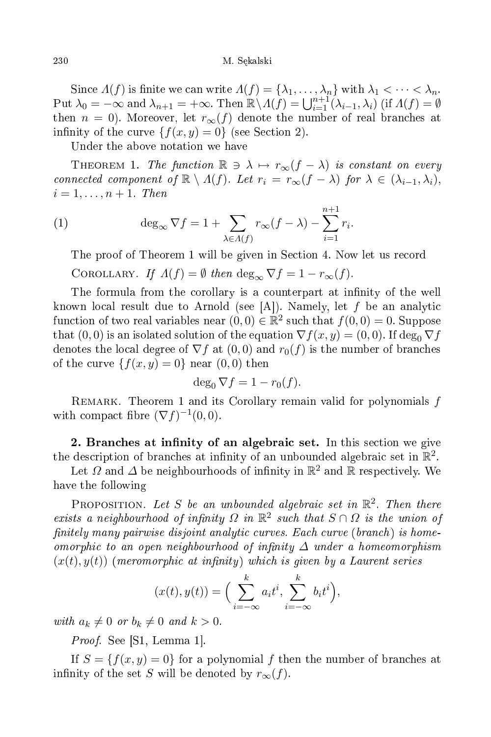Since  $\varLambda(f)$  is finite we can write  $\varLambda(f)=\{\lambda_1,\ldots,\lambda_n\}$  with  $\lambda_1<\cdots<\lambda_n.$ Put  $\lambda_0 = -\infty$  and  $\lambda_{n+1} = +\infty$ . Then  $\mathbb{R} \setminus \Lambda(f) = \bigcup_{i=1}^{n+1} (\lambda_{i-1}, \lambda_i)$  (if  $\Lambda(f) = \emptyset$ then  $n = 0$ ). Moreover, let  $r_{\infty}(f)$  denote the number of real branches at infinity of the curve  $\{f(x, y) = 0\}$  (see Section 2).

Under the above notation we have

THEOREM 1. The function  $\mathbb{R} \ni \lambda \mapsto r_{\infty}(f - \lambda)$  is constant on every connected component of  $\mathbb{R} \setminus \Lambda(f)$ . Let  $r_i = r_\infty(f - \lambda)$  for  $\lambda \in (\lambda_{i-1}, \lambda_i)$ ,  $i=1,\ldots,n+1$ . Then

(1) 
$$
\deg_{\infty} \nabla f = 1 + \sum_{\lambda \in \Lambda(f)} r_{\infty}(f - \lambda) - \sum_{i=1}^{n+1} r_i.
$$

The proof of Theorem 1 will be given in Section 4. Now let us record

COROLLARY. If  $\Lambda(f) = \emptyset$  then  $\deg_{\infty} \nabla f = 1 - r_{\infty}(f)$ .

The formula from the corollary is a counterpart at infinity of the well known local result due to Arnold (see [A]). Namely, let  $f$  be an analytic function of two real variables near  $(0,0) \in \mathbb{R}^2$  such that  $f(0,0) = 0$ . Suppose that  $(0, 0)$  is an isolated solution of the equation  $\nabla f(x, y) = (0, 0)$ . If deg<sub>0</sub>  $\nabla f$ denotes the local degree of  $\nabla f$  at  $(0,0)$  and  $r_0(f)$  is the number of branches of the curve  $\{f(x,y)=0\}$  near  $(0,0)$  then

$$
\deg_0 \nabla f = 1 - r_0(f).
$$

REMARK. Theorem 1 and its Corollary remain valid for polynomials  $f$ with compact fibre  $(\nabla f)^{-1}(0,0)$ .

2. Branches at infinity of an algebraic set. In this section we give the description of branches at infinity of an unbounded algebraic set in  $\mathbb{R}^2$ .

Let  $\varOmega$  and  $\varDelta$  be neighbourhoods of infinity in  $\mathbb{R}^2$  and  $\mathbb R$  respectively. We have the following

PROPOSITION. Let S be an unbounded algebraic set in  $\mathbb{R}^2$ . Then there exists a neighbourhood of infinity  $\Omega$  in  $\mathbb{R}^2$  such that  $S \cap \Omega$  is the union of nitely many pairwise disjoint analyti urves. Ea
h urve (bran
h) is homeomorphic to an open neighbourhood of infinity  $\Delta$  under a homeomorphism  $(x(t), y(t))$  (meromorphic at infinity) which is given by a Laurent series

$$
(x(t), y(t)) = \left(\sum_{i=-\infty}^{k} a_i t^i, \sum_{i=-\infty}^{k} b_i t^i\right),
$$

with  $a_k \neq 0$  or  $b_k \neq 0$  and  $k > 0$ .

Provides the first contract of the second contract of the second contract of the second contract of the second

If  $S = \{f(x, y) = 0\}$  for a polynomial f then the number of branches at infinity of the set S will be denoted by  $r_{\infty}(f)$ .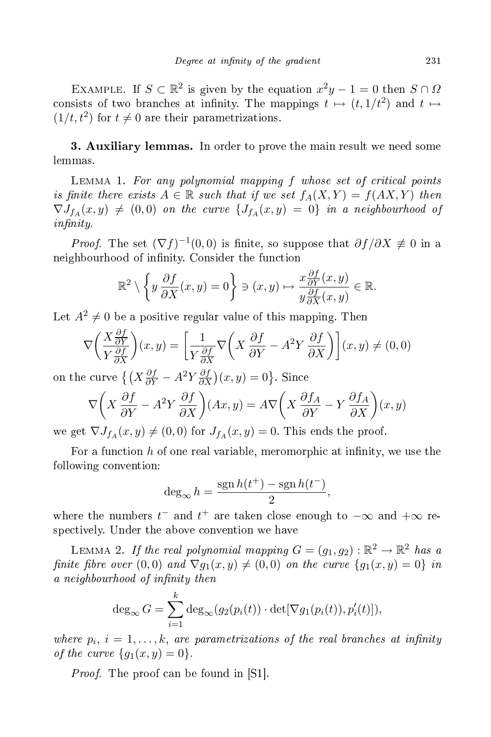EXAMPLE. If  $S \subset \mathbb{R}^2$  is given by the equation  $x^2y - 1 = 0$  then  $S \cap \Omega$ consists of two branches at infinity. The mappings  $t \mapsto (t, 1/t^2)$  and  $t \mapsto$  $(1/t, t^2)$  for  $t \neq 0$  are their parametrizations.

 $\overline{\mathbf{a}}$ lemmas.

LEMMA 1. For any polynomial mapping  $f$  whose set of critical points is finite there exists  $A \in \mathbb{R}$  such that if we set  $f_A(X,Y) = f(AX,Y)$  then  $\nabla J_{f_A}(x,y) \, \neq \, (0,0)$  on the curve  $\{J_{f_A}(x,y) \, = \, 0\}$  in a neighbourhood of  $infinity.$ 

*Proof.* The set  $(\nabla f)^{-1}(0,0)$  is finite, so suppose that  $\partial f/\partial X \neq 0$  in a neighbourhood of infinity. Consider the function

$$
\mathbb{R}^2 \setminus \left\{ y \frac{\partial f}{\partial X}(x, y) = 0 \right\} \ni (x, y) \mapsto \frac{x \frac{\partial f}{\partial Y}(x, y)}{y \frac{\partial f}{\partial X}(x, y)} \in \mathbb{R}.
$$

Let  $A^2 \neq 0$  be a positive regular value of this mapping. Then

$$
\nabla \left( \frac{X \frac{\partial f}{\partial Y}}{Y \frac{\partial f}{\partial X}} \right) (x, y) = \left[ \frac{1}{Y \frac{\partial f}{\partial X}} \nabla \left( X \frac{\partial f}{\partial Y} - A^2 Y \frac{\partial f}{\partial X} \right) \right] (x, y) \neq (0, 0)
$$

on the curve  $\left\{ \left( X \frac{\partial f}{\partial Y} - A^2 Y \frac{\partial f}{\partial X} \right) (x, y) = 0 \right\}$ . Since

$$
\nabla \left( X \frac{\partial f}{\partial Y} - A^2 Y \frac{\partial f}{\partial X} \right) (Ax, y) = A \nabla \left( X \frac{\partial f_A}{\partial Y} - Y \frac{\partial f_A}{\partial X} \right) (x, y)
$$

we get  $\nabla J_{f_A}(x,y) \neq (0,0)$  for  $J_{f_A}(x,y) = 0$ . This ends the proof.

For a function  $h$  of one real variable, meromorphic at infinity, we use the following onvention:

$$
\deg_{\infty} h = \frac{\operatorname{sgn} h(t^{+}) - \operatorname{sgn} h(t^{-})}{2},
$$

where the numbers  $t^-$  and  $t^+$  are taken close enough to  $-\infty$  and  $+\infty$  respectively. Under the above convention we have

LEMMA 2. If the real polynomial mapping  $G=(g_1,g_2):\mathbb{R}^2\to\mathbb{R}^2$  has a finite fibre over  $(0,0)$  and  $\nabla g_1(x,y) \neq (0,0)$  on the curve  $\{g_1(x,y)=0\}$  in a neighbourhood of innity then the innity then the innity then the innity then the innity then the innity then the innity of the innity of the innity of the innity of the innity of the innity of the innity of the innity of

$$
\deg_{\infty} G = \sum_{i=1}^{k} \deg_{\infty}(g_2(p_i(t)) \cdot \det[\nabla g_1(p_i(t)), p'_i(t)]),
$$

where  $p_i$ ,  $i = 1, \ldots, k$ , are parametrizations of the real branches at infinity *of the curve*  $\{g_1(x, y) = 0\}.$ 

Proof. The proof an be found in [S1℄.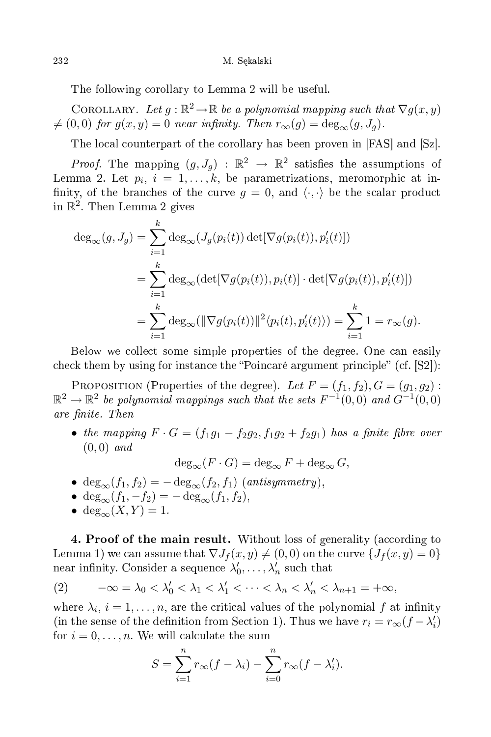The following orollary to Lemma 2 will be useful.

COROLLARY. Let  $g : \mathbb{R}^2 \to \mathbb{R}$  be a polynomial mapping such that  $\nabla g(x, y)$  $\neq (0, 0)$  for  $g(x, y) = 0$  near infinity. Then  $r_{\infty}(g) = \deg_{\infty}(g, J_q)$ .

The local counterpart of the corollary has been proven in [FAS] and [Sz].

*Proof.* The mapping  $(g, J_g) : \mathbb{R}^2 \to \mathbb{R}^2$  satisfies the assumptions of Lemma 2. Let  $p_i$ ,  $i = 1, \ldots, k$ , be parametrizations, meromorphic at infinity, of the branches of the curve  $g = 0$ , and  $\langle \cdot, \cdot \rangle$  be the scalar product in  $\mathbb{R}^2$ . Then Lemma 2 gives

$$
\deg_{\infty}(g, J_g) = \sum_{i=1}^{k} \deg_{\infty}(J_g(p_i(t)) \det[\nabla g(p_i(t)), p'_i(t)])
$$
  

$$
= \sum_{i=1}^{k} \deg_{\infty}(\det[\nabla g(p_i(t)), p_i(t)] \cdot \det[\nabla g(p_i(t)), p'_i(t)])
$$
  

$$
= \sum_{i=1}^{k} \deg_{\infty}(\|\nabla g(p_i(t))\|^2 \langle p_i(t), p'_i(t) \rangle) = \sum_{i=1}^{k} 1 = r_{\infty}(g).
$$

Below we collect some simple properties of the degree. One can easily check them by using for instance the "Poincaré argument principle" (cf. [S2]):

PROPOSITION (Properties of the degree). Let  $F = (f_1, f_2), G = (g_1, g_2)$ :  $\mathbb{R}^2 \to \mathbb{R}^2$  be polynomial mappings such that the sets  $F^{-1}(0,0)$  and  $G^{-1}(0,0)$ are nite. Then the nite and the nite and the nite and the nite and the nite and the nite and the nite and then

• the mapping  $F \cdot G = (f_1g_1 - f_2g_2, f_1g_2 + f_2g_1)$  has a finite fibre over  $(0, 0)$  and

 $deg_{\infty}(F \cdot G) = deg_{\infty} F + deg_{\infty} G,$ 

- deg<sub>∞</sub> $(f_1, f_2) = -\deg_{\infty}(f_2, f_1)$  (antisymmetry),
- deg<sub>∞</sub> $(f_1, -f_2) = -\deg_{\infty}(f_1, f_2),$
- deg<sub>∞</sub> $(X, Y) = 1$ .

4. Proof of the main result. Without loss of generality (according to Lemma 1) we can assume that  $\nabla J_f(x,y) \neq (0,0)$  on the curve  $\{J_f(x,y)=0\}$ near infinity. Consider a sequence  $\lambda_0$  $\lambda'_0, \ldots, \lambda'_n$  such that

(2) 
$$
-\infty = \lambda_0 < \lambda'_0 < \lambda_1 < \lambda'_1 < \cdots < \lambda_n < \lambda'_n < \lambda_{n+1} = +\infty,
$$

where  $\lambda_i, i = 1, \ldots, n$ , are the critical values of the polynomial  $f$  at infinity (in the sense of the definition from Section 1). Thus we have  $r_i = r_{\infty}(f - \lambda_i^2)$  $\binom{l}{i}$ for  $i = 0, \ldots, n$ . We will calculate the sum

$$
S = \sum_{i=1}^{n} r_{\infty}(f - \lambda_i) - \sum_{i=0}^{n} r_{\infty}(f - \lambda'_i).
$$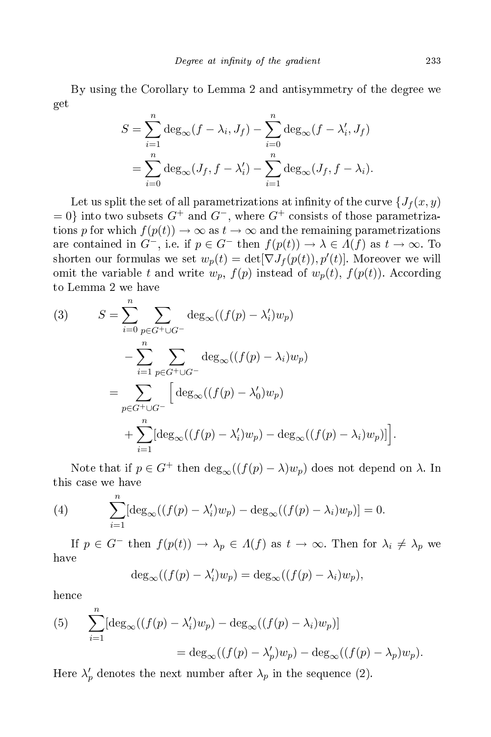By using the Corollary to Lemma 2 and antisymmetry of the degree we get

$$
S = \sum_{i=1}^{n} \deg_{\infty}(f - \lambda_i, J_f) - \sum_{i=0}^{n} \deg_{\infty}(f - \lambda'_i, J_f)
$$
  
= 
$$
\sum_{i=0}^{n} \deg_{\infty}(J_f, f - \lambda'_i) - \sum_{i=1}^{n} \deg_{\infty}(J_f, f - \lambda_i).
$$

Let us split the set of all parametrizations at infinity of the curve  $\{J_f(x, y)\}$  $= 0$  into two subsets  $G^+$  and  $G^-$ , where  $G^+$  consists of those parametrizations p for which  $f(p(t)) \to \infty$  as  $t \to \infty$  and the remaining parametrizations are contained in  $G^-$ , i.e. if  $p \in G^-$  then  $f(p(t)) \to \lambda \in \Lambda(f)$  as  $t \to \infty$ . To shorten our formulas we set  $w_p(t) = \det[\nabla J_f(p(t)), p'(t)]$ . Moreover we will omit the variable t and write  $w_p$ ,  $f(p)$  instead of  $w_p(t)$ ,  $f(p(t))$ . According to Lemma 2 we have

(3) 
$$
S = \sum_{i=0}^{n} \sum_{p \in G^{+} \cup G^{-}} \deg_{\infty}((f(p) - \lambda'_{i})w_{p})
$$

$$
- \sum_{i=1}^{n} \sum_{p \in G^{+} \cup G^{-}} \deg_{\infty}((f(p) - \lambda_{i})w_{p})
$$

$$
= \sum_{p \in G^{+} \cup G^{-}} \left[ \deg_{\infty}((f(p) - \lambda'_{0})w_{p}) + \sum_{i=1}^{n} [\deg_{\infty}((f(p) - \lambda'_{i})w_{p}) - \deg_{\infty}((f(p) - \lambda_{i})w_{p})] \right].
$$

Note that if  $p \in G^+$  then  $\deg_{\infty}((f(p) - \lambda)w_p)$  does not depend on  $\lambda$ . In this ase we have

(4) 
$$
\sum_{i=1}^{n} [\deg_{\infty}((f(p) - \lambda'_i)w_p) - \deg_{\infty}((f(p) - \lambda_i)w_p)] = 0.
$$

If  $p \in G^-$  then  $f(p(t)) \to \lambda_p \in \Lambda(f)$  as  $t \to \infty$ . Then for  $\lambda_i \neq \lambda_p$  we have

$$
\deg_{\infty}((f(p) - \lambda'_i)w_p) = \deg_{\infty}((f(p) - \lambda_i)w_p),
$$

hence

(5) 
$$
\sum_{i=1}^{n} [\deg_{\infty}((f(p) - \lambda'_{i})w_{p}) - \deg_{\infty}((f(p) - \lambda_{i})w_{p})] = \deg_{\infty}((f(p) - \lambda'_{p})w_{p}) - \deg_{\infty}((f(p) - \lambda_{p})w_{p}).
$$

Here  $\lambda'_p$  denotes the next number after  $\lambda_p$  in the sequence (2).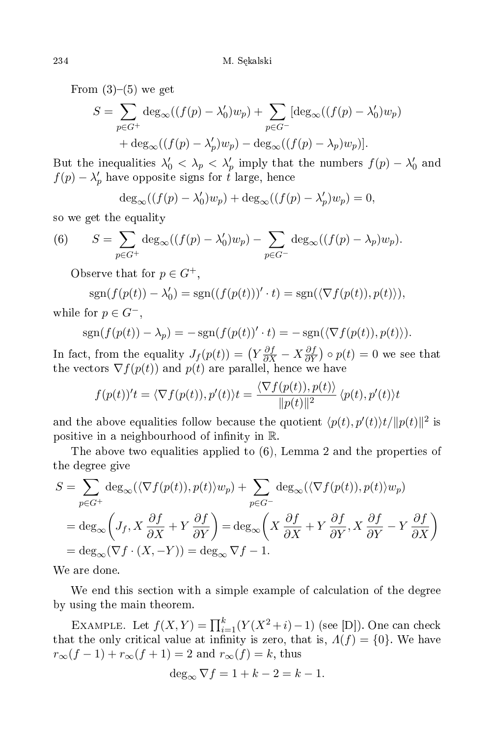From  $(3)-(5)$  we get

$$
S = \sum_{p \in G^+} \deg_{\infty}((f(p) - \lambda'_0)w_p) + \sum_{p \in G^-} [\deg_{\infty}((f(p) - \lambda'_0)w_p) + \deg_{\infty}((f(p) - \lambda'_p)w_p) - \deg_{\infty}((f(p) - \lambda_p)w_p)].
$$

But the inequalities  $\lambda'_0 < \lambda_p < \lambda'_p$  imply that the numbers  $f(p) - \lambda'_0$  $_{0}$  and  $f(p) - \lambda'_p$  have opposite signs for t large, hence

$$
\deg_{\infty}((f(p) - \lambda_0')w_p) + \deg_{\infty}((f(p) - \lambda_p')w_p) = 0,
$$

so we get the equality

(6) 
$$
S = \sum_{p \in G^+} \deg_{\infty}((f(p) - \lambda'_0)w_p) - \sum_{p \in G^-} \deg_{\infty}((f(p) - \lambda_p)w_p).
$$

Observe that for  $p \in G^+$ ,

$$
sgn(f(p(t)) - \lambda'_0) = sgn((f(p(t)))' \cdot t) = sgn(\langle \nabla f(p(t)), p(t) \rangle),
$$

while for  $p \in G^-$ ,

$$
sgn(f(p(t)) - \lambda_p) = -sgn(f(p(t))' \cdot t) = -sgn(\langle \nabla f(p(t)), p(t) \rangle).
$$

In fact, from the equality  $J_f(p(t)) = (Y \frac{\partial f}{\partial X} - X \frac{\partial f}{\partial Y}) \circ p(t) = 0$  we see that the vectors  $\nabla f(p(t))$  and  $p(t)$  are parallel, hence we have

$$
f(p(t))'t = \langle \nabla f(p(t)), p'(t) \rangle t = \frac{\langle \nabla f(p(t)), p(t) \rangle}{\|p(t)\|^2} \langle p(t), p'(t) \rangle t
$$

and the above equalities follow because the quotient  $\langle p(t), p'(t) \rangle t / ||p(t)||^2$  is positive in a neighbourhood of infinity in  $\mathbb{R}$ .

The above two equalities applied to (6), Lemma 2 and the properties of the degree give

$$
S = \sum_{p \in G^{+}} \deg_{\infty}(\langle \nabla f(p(t)), p(t) \rangle w_{p}) + \sum_{p \in G^{-}} \deg_{\infty}(\langle \nabla f(p(t)), p(t) \rangle w_{p})
$$
  
=  $\deg_{\infty} \left( J_{f}, X \frac{\partial f}{\partial X} + Y \frac{\partial f}{\partial Y} \right) = \deg_{\infty} \left( X \frac{\partial f}{\partial X} + Y \frac{\partial f}{\partial Y}, X \frac{\partial f}{\partial Y} - Y \frac{\partial f}{\partial X} \right)$   
=  $\deg_{\infty} (\nabla f \cdot (X, -Y)) = \deg_{\infty} \nabla f - 1.$ 

We are done.

We end this section with a simple example of calculation of the degree by using the main theorem.

EXAMPLE. Let  $f(X,Y) = \prod_{i=1}^{k} (Y(X^2 + i) - 1)$  (see [D]). One can check that the only critical value at infinity is zero, that is,  $\Lambda(f) = \{0\}$ . We have  $r_{\infty}(f-1)+r_{\infty}(f+1)=2$  and  $r_{\infty}(f)=k$ , thus

$$
\deg_{\infty} \nabla f = 1 + k - 2 = k - 1.
$$